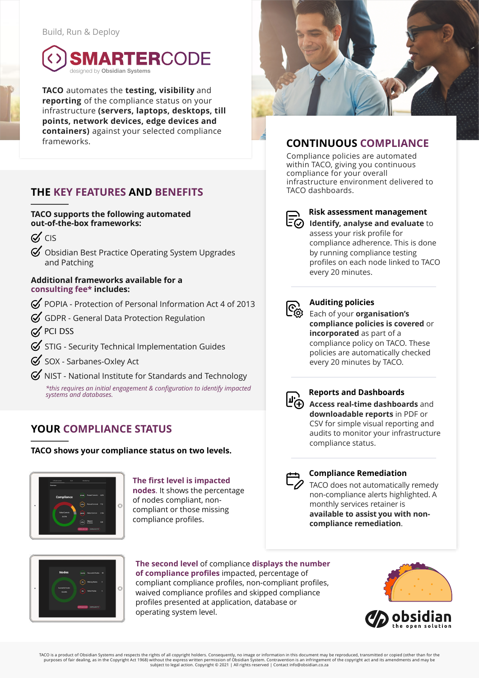

**TACO** automates the **testing, visibility** and **reporting** of the compliance status on your infrastructure **(servers, laptops, desktops, till points, network devices, edge devices and containers)** against your selected compliance frameworks.

# **THE KEY FEATURES AND BENEFITS**

#### **TACO supports the following automated out-of-the-box frameworks:**

- $\alpha$  CIS
- $\mathcal G$  Obsidian Best Practice Operating System Upgrades and Patching

#### **Additional frameworks available for a consulting fee\* includes:**

- $\mathcal G$  POPIA Protection of Personal Information Act 4 of 2013
- $G$  GDPR General Data Protection Regulation
- $\alpha$  PCI DSS
- $\mathcal G$  STIG Security Technical Implementation Guides
- SOX Sarbanes-Oxley Act
- $\mathcal G$  NIST National Institute for Standards and Technology *\*this requires an initial engagement & configuration to identify impacted systems and databases.*

# **YOUR COMPLIANCE STATUS**

**TACO shows your compliance status on two levels.**



**The first level is impacted nodes**. It shows the percentage of nodes compliant, noncompliant or those missing compliance profiles.



#### **The second level** of compliance **displays the number of compliance profiles** impacted, percentage of compliant compliance profiles, non-compliant profiles, waived compliance profiles and skipped compliance profiles presented at application, database or operating system level.



# **CONTINUOUS COMPLIANCE**

Compliance policies are automated within TACO, giving you continuous compliance for your overall infrastructure environment delivered to TACO dashboards.



#### **Risk assessment management**

**Identify, analyse and evaluate** to assess your risk profile for compliance adherence. This is done by running compliance testing profiles on each node linked to TACO every 20 minutes.



#### **Auditing policies**

Each of your **organisation's**<br>Each of your **organisation's compliance policies is covered** or **incorporated** as part of a compliance policy on TACO. These policies are automatically checked every 20 minutes by TACO.



### **Reports and Dashboards**

**ACCESS real-time dashboards** and **downloadable reports** in PDF or CSV for simple visual reporting and audits to monitor your infrastructure compliance status.



### **Compliance Remediation**

TACO does not automatically remedy non-compliance alerts highlighted. A monthly services retainer is **available to assist you with noncompliance remediation**.